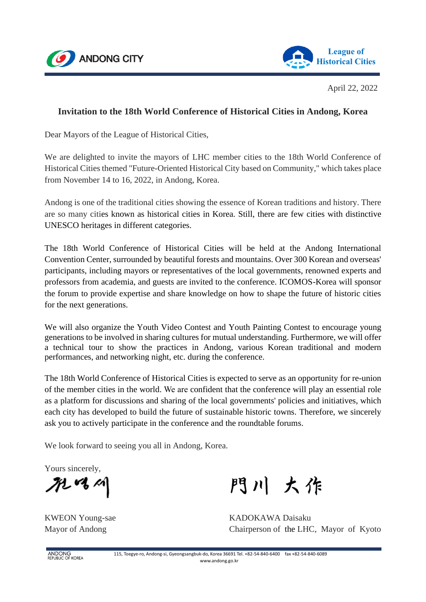



April 22, 2022

# **Invitation to the 18th World Conference of Historical Cities in Andong, Korea**

Dear Mayors of the League of Historical Cities,

We are delighted to invite the mayors of LHC member cities to the 18th World Conference of Historical Cities themed "Future-Oriented Historical City based on Community," which takes place from November 14 to 16, 2022, in Andong, Korea.

Andong is one of the traditional cities showing the essence of Korean traditions and history. There are so many cities known as historical cities in Korea. Still, there are few cities with distinctive UNESCO heritages in different categories.

The 18th World Conference of Historical Cities will be held at the Andong International Convention Center, surrounded by beautiful forests and mountains. Over 300 Korean and overseas' participants, including mayors or representatives of the local governments, renowned experts and professors from academia, and guests are invited to the conference. ICOMOS-Korea will sponsor the forum to provide expertise and share knowledge on how to shape the future of historic cities for the next generations.

We will also organize the Youth Video Contest and Youth Painting Contest to encourage young generations to be involved in sharing cultures for mutual understanding. Furthermore, we will offer a technical tour to show the practices in Andong, various Korean traditional and modern performances, and networking night, etc. during the conference.

The 18th World Conference of Historical Cities is expected to serve as an opportunity for re-union of the member cities in the world. We are confident that the conference will play an essential role as a platform for discussions and sharing of the local governments' policies and initiatives, which each city has developed to build the future of sustainable historic towns. Therefore, we sincerely ask you to actively participate in the conference and the roundtable forums.

We look forward to seeing you all in Andong, Korea.

Yours sincerely,

MAM

門川 大作

KWEON Young-sae KADOKAWA Daisaku Mayor of Andong Chairperson of the LHC, Mayor of Kyoto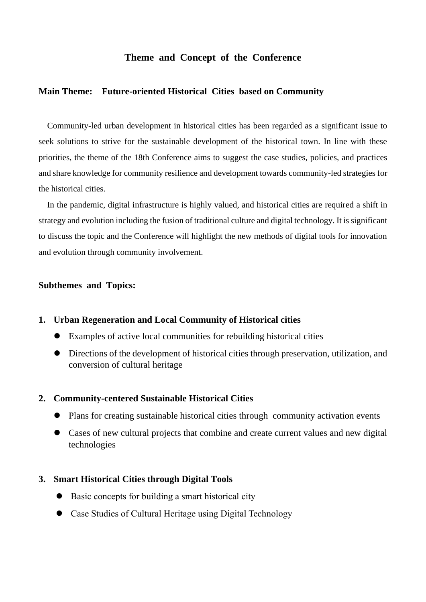## **Theme and Concept of the Conference**

## **Main Theme: Future-oriented Historical Cities based on Community**

Community-led urban development in historical cities has been regarded as a significant issue to seek solutions to strive for the sustainable development of the historical town. In line with these priorities, the theme of the 18th Conference aims to suggest the case studies, policies, and practices and share knowledge for community resilience and development towards community-led strategies for the historical cities.

In the pandemic, digital infrastructure is highly valued, and historical cities are required a shift in strategy and evolution including the fusion of traditional culture and digital technology. It is significant to discuss the topic and the Conference will highlight the new methods of digital tools for innovation and evolution through community involvement.

## **Subthemes and Topics:**

#### **1. Urban Regeneration and Local Community of Historical cities**

- ⚫ Examples of active local communities for rebuilding historical cities
- ⚫ Directions of the development of historical cities through preservation, utilization, and conversion of cultural heritage

#### **2. Community-centered Sustainable Historical Cities**

- ⚫ Plans for creating sustainable historical cities through community activation events
- ⚫ Cases of new cultural projects that combine and create current values and new digital technologies

#### **3. Smart Historical Cities through Digital Tools**

- ⚫ Basic concepts for building a smart historical city
- ⚫ Case Studies of Cultural Heritage using Digital Technology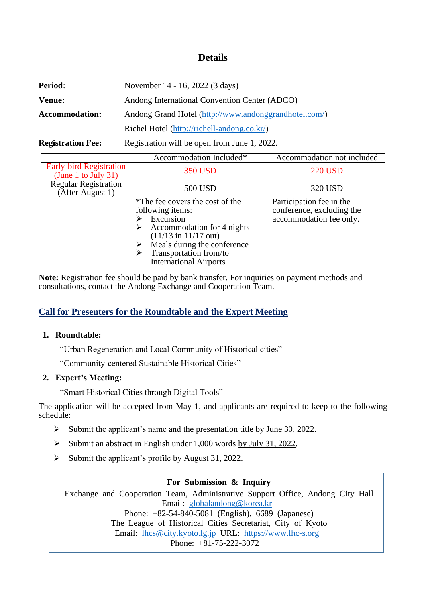# **Details**

| <b>Period:</b>           | November 14 - 16, 2022 (3 days)                       |  |  |
|--------------------------|-------------------------------------------------------|--|--|
| Venue:                   | Andong International Convention Center (ADCO)         |  |  |
| <b>Accommodation:</b>    | Andong Grand Hotel (http://www.andonggrandhotel.com/) |  |  |
|                          | Richel Hotel (http://richell-andong.co.kr/)           |  |  |
| <b>Registration Fee:</b> | Registration will be open from June 1, 2022.          |  |  |

|                                                       | Accommodation Included*                                                                                                                                                                                                             | Accommodation not included                                                       |  |
|-------------------------------------------------------|-------------------------------------------------------------------------------------------------------------------------------------------------------------------------------------------------------------------------------------|----------------------------------------------------------------------------------|--|
| <b>Early-bird Registration</b><br>(June 1 to July 31) | <b>350 USD</b>                                                                                                                                                                                                                      | <b>220 USD</b>                                                                   |  |
| <b>Regular Registration</b><br>(After August 1)       | 500 USD                                                                                                                                                                                                                             | 320 USD                                                                          |  |
|                                                       | *The fee covers the cost of the<br>following items:<br>Excursion<br>Accommodation for 4 nights<br>$(11/13 \text{ in } 11/17 \text{ out})$<br>Meals during the conference<br>Transportation from/to<br><b>International Airports</b> | Participation fee in the<br>conference, excluding the<br>accommodation fee only. |  |

**Note:** Registration fee should be paid by bank transfer. For inquiries on payment methods and consultations, contact the Andong Exchange and Cooperation Team.

# **Call for Presenters for the Roundtable and the Expert Meeting**

### **1. Roundtable:**

"Urban Regeneration and Local Community of Historical cities"

"Community-centered Sustainable Historical Cities"

### **2. Expert's Meeting:**

"Smart Historical Cities through Digital Tools"

The application will be accepted from May 1, and applicants are required to keep to the following schedule:

- ➢ Submit the applicant's name and the presentation title by June 30, 2022.
- ➢ Submit an abstract in English under 1,000 words by July 31, 2022.
- $\triangleright$  Submit the applicant's profile by August 31, 2022.

## **For Submission & Inquiry**

Exchange and Cooperation Team, Administrative Support Office, Andong City Hall Email: [globalandong@korea.kr](mailto:globalandong@korea.kr) Phone: +82-54-840-5081 (English), 6689 (Japanese) The League of Historical Cities Secretariat, City of Kyoto Email: [lhcs@city.kyoto.lg.jp](mailto:lhcs@city.kyoto.lg.jp) URL: [https://www.lhc-s.org](https://www.lhc-s.org/) Phone: +81-75-222-3072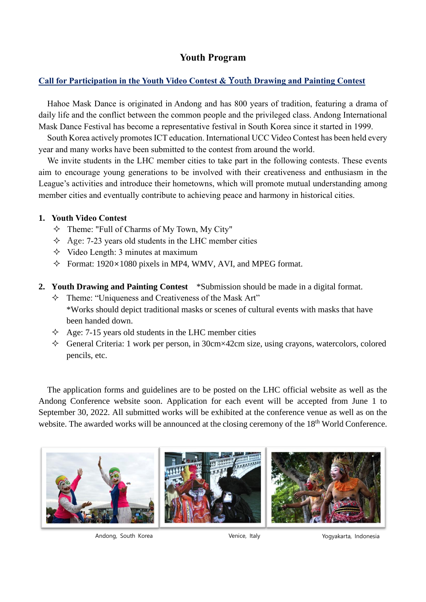# **Youth Program**

## **Call for Participation in the Youth Video Contest &** Youth **Drawing and Painting Contest**

Hahoe Mask Dance is originated in Andong and has 800 years of tradition, featuring a drama of daily life and the conflict between the common people and the privileged class. Andong International Mask Dance Festival has become a representative festival in South Korea since it started in 1999.

South Korea actively promotes ICT education. International UCC Video Contest has been held every year and many works have been submitted to the contest from around the world.

We invite students in the LHC member cities to take part in the following contests. These events aim to encourage young generations to be involved with their creativeness and enthusiasm in the League's activities and introduce their hometowns, which will promote mutual understanding among member cities and eventually contribute to achieving peace and harmony in historical cities.

## **1. Youth Video Contest**

- $\Diamond$  Theme: "Full of Charms of My Town, My City"
- $\triangle$  Age: 7-23 years old students in the LHC member cities
- $\Diamond$  Video Length: 3 minutes at maximum
- $\div$  Format: 1920×1080 pixels in MP4, WMV, AVI, and MPEG format.
- **2. Youth Drawing and Painting Contest** \*Submission should be made in a digital format.
	- $\Diamond$  Theme: "Uniqueness and Creativeness of the Mask Art" \*Works should depict traditional masks or scenes of cultural events with masks that have been handed down.
	- $\triangle$  Age: 7-15 years old students in the LHC member cities
	- $\Diamond$  General Criteria: 1 work per person, in 30cm×42cm size, using crayons, watercolors, colored pencils, etc.

The application forms and guidelines are to be posted on the LHC official website as well as the Andong Conference website soon. Application for each event will be accepted from June 1 to September 30, 2022. All submitted works will be exhibited at the conference venue as well as on the website. The awarded works will be announced at the closing ceremony of the 18<sup>th</sup> World Conference.



Andong, South Korea **Venice, Italy Yogyakarta, Indonesia**